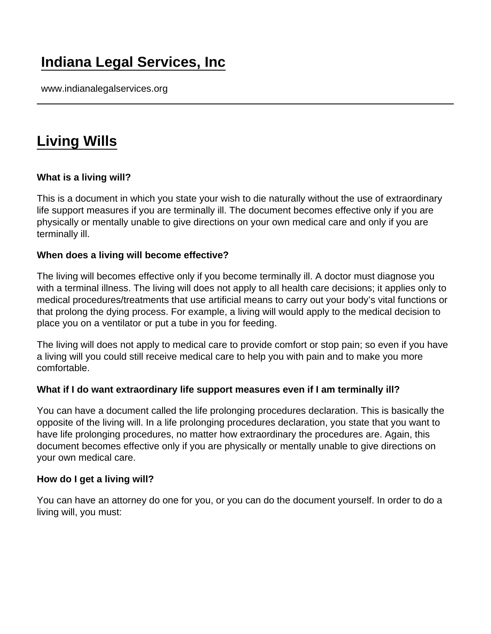# [Indiana Legal Services, Inc](https://www.indianalegalservices.org/)

www.indianalegalservices.org

## [Living Wills](https://www.indianalegalservices.org/node/293/living-wills)

What is a living will?

This is a document in which you state your wish to die naturally without the use of extraordinary life support measures if you are terminally ill. The document becomes effective only if you are physically or mentally unable to give directions on your own medical care and only if you are terminally ill.

When does a living will become effective?

The living will becomes effective only if you become terminally ill. A doctor must diagnose you with a terminal illness. The living will does not apply to all health care decisions; it applies only to medical procedures/treatments that use artificial means to carry out your body's vital functions or that prolong the dying process. For example, a living will would apply to the medical decision to place you on a ventilator or put a tube in you for feeding.

The living will does not apply to medical care to provide comfort or stop pain; so even if you have a living will you could still receive medical care to help you with pain and to make you more comfortable.

What if I do want extraordinary life support measures even if I am terminally ill?

You can have a document called the life prolonging procedures declaration. This is basically the opposite of the living will. In a life prolonging procedures declaration, you state that you want to have life prolonging procedures, no matter how extraordinary the procedures are. Again, this document becomes effective only if you are physically or mentally unable to give directions on your own medical care.

How do I get a living will?

You can have an attorney do one for you, or you can do the document yourself. In order to do a living will, you must: